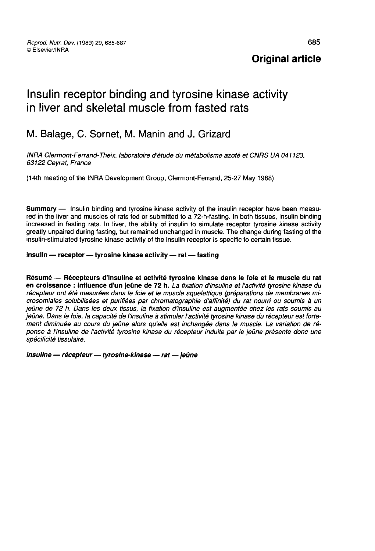Original article

# Insulin receptor binding and tyrosine kinase activity in liver and skeletal muscle from fasted rats

## M. Balage, C. Sornet, M. Manin and J. Grizard

INRA Clermont-Ferrand-Theix, laboratoire d'étude du métabolisme azoté et CNRS UA 041123. 63122 Ceyrat, France

(l4th meeting of the INRA Development Group, Clermont-Ferrand, 25-27 May 1988)

Summary ― Insulin binding and tyrosine kinase activity of the insulin receptor have been measured in the liver and muscles of rats fed or submitted to a 72-h-fasting. In both tissues, insulin binding increased in fasting rats. In liver, the ability of insulin to simulate receptor tyrosine kinase activity greatly unpaired during fasting, but remained unchanged in muscle. The change during fasting of the insulin-stimulated tyrosine kinase activity of the insulin receptor is specific to certain tissue.

#### insulin - receptor - tyrosine kinase activity - rat - fasting

Résumé ― Récepteurs d'insuline et activité tyrosine kinase dans le foie et le muscle du rat en croissance : influence d'un jeûne de 72 h. La fixation d'insuline et l'activité tyrosine kinase du récepteur ont été mesurées dans le foie et le muscle squelettique (préparations de membranes microsomiales solubilisées et purifiées par chromatographie d affinité) du rat nourri ou soumis à un jeûne de 72 h. Dans les deux tissus, la fixation d'insuline est augmentée chez les rats soumis au jeûne. Dans le foie, la capacité de l'insuline à stimuler l'activité tyrosine kinase du récepteur est fortement diminuée au cours du jeûne alors qu'elle est inchangée dans le muscle. La variation de réponse à l'insuline de l'activité tyrosine kinase du récepteur induite par le jeûne présente donc une spécificité tissulaire.

insuline - récepteur - tyrosine-kinase - rat - jeûne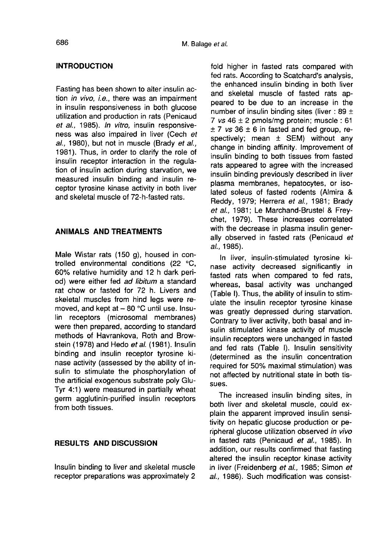#### INTRODUCTION

Fasting has been shown to alter insulin action *in vivo, i.e.*, there was an impairment in insulin responsiveness in both glucose utilization and production in rats (Penicaud et al., 1985). In vitro, insulin responsiveness was also impaired in liver (Cech et al., 1980), but not in muscle (Brady et al., 1981). Thus, in order to clarify the role of insulin receptor interaction in the regulation of insulin action during starvation, we measured insulin binding and insulin receptor tyrosine kinase activity in both liver and skeletal muscle of 72-h-fasted rats.

### ANIMALS AND TREATMENTS

Male Wistar rats (150 g), housed in controlled environmental conditions (22 °C, 60% relative humidity and 12 h dark period) were either fed ad libitum a standard rat chow or fasted for 72 h. Livers and skeletal muscles from hind legs were removed, and kept at  $\sim$  80 °C until use. Insulin receptors (microsomal membranes) were then prepared, according to standard methods of Havrankova, Roth and Browstein (1978) and Hedo et al. (1981). Insulin binding and insulin receptor tyrosine kinase activity (assessed by the ability of insulin to stimulate the phosphorylation of the artificial exogenous substrate poly Glu-Tyr 4:1) were measured in partially wheat germ agglutinin-purified insulin receptors from both tissues.

#### RESULTS AND DISCUSSION

Insulin binding to liver and skeletal muscle receptor preparations was approximately 2 fold higher in fasted rats compared with fed rats. According to Scatchard's analysis, the enhanced insulin binding in both liver and skeletal muscle of fasted rats appeared to be due to an increase in the number of insulin binding sites (liver : 89  $\pm$ 7  $vs$  46  $\pm$  2 pmols/mg protein; muscle: 61  $± 7$  vs 36  $± 6$  in fasted and fed group, respectively; mean  $\pm$  SEM) without any change in binding affinity. Improvement of insulin binding to both tissues from fasted rats appeared to agree with the increased insulin binding previously described in liver plasma membranes, hepatocytes, or isolated soleus of fasted rodents (Almira & Reddy, 1979; Herrera et al., 1981; Brady et al., 1981; Le Marchand-Brustel & Freychet, 1979). These increases correlated with the decrease in plasma insulin generally observed in fasted rats (Penicaud et al., 1985).

In liver, insulin-stimulated tyrosine kinase activity decreased significantly in fasted rats when compared to fed rats, whereas, basal activity was unchanged (Table I). Thus, the ability of insulin to stimulate the insulin receptor tyrosine kinase was greatly depressed during starvation. Contrary to liver activity, both basal and insulin stimulated kinase activity of muscle insulin receptors were unchanged in fasted and fed rats (Table I). Insulin sensitivity (determined as the insulin concentration required for 50% maximal stimulation) was not affected by nutritional state in both tissues.

The increased insulin binding sites, in both liver and skeletal muscle, could explain the apparent improved insulin sensitivity on hepatic glucose production or peripheral glucose utilization observed in vivo in fasted rats (Penicaud et al., 1985). In addition, our results confirmed that fasting altered the insulin receptor kinase activity in liver (Freidenberg et al., 1985; Simon et al., 1986). Such modification was consist-